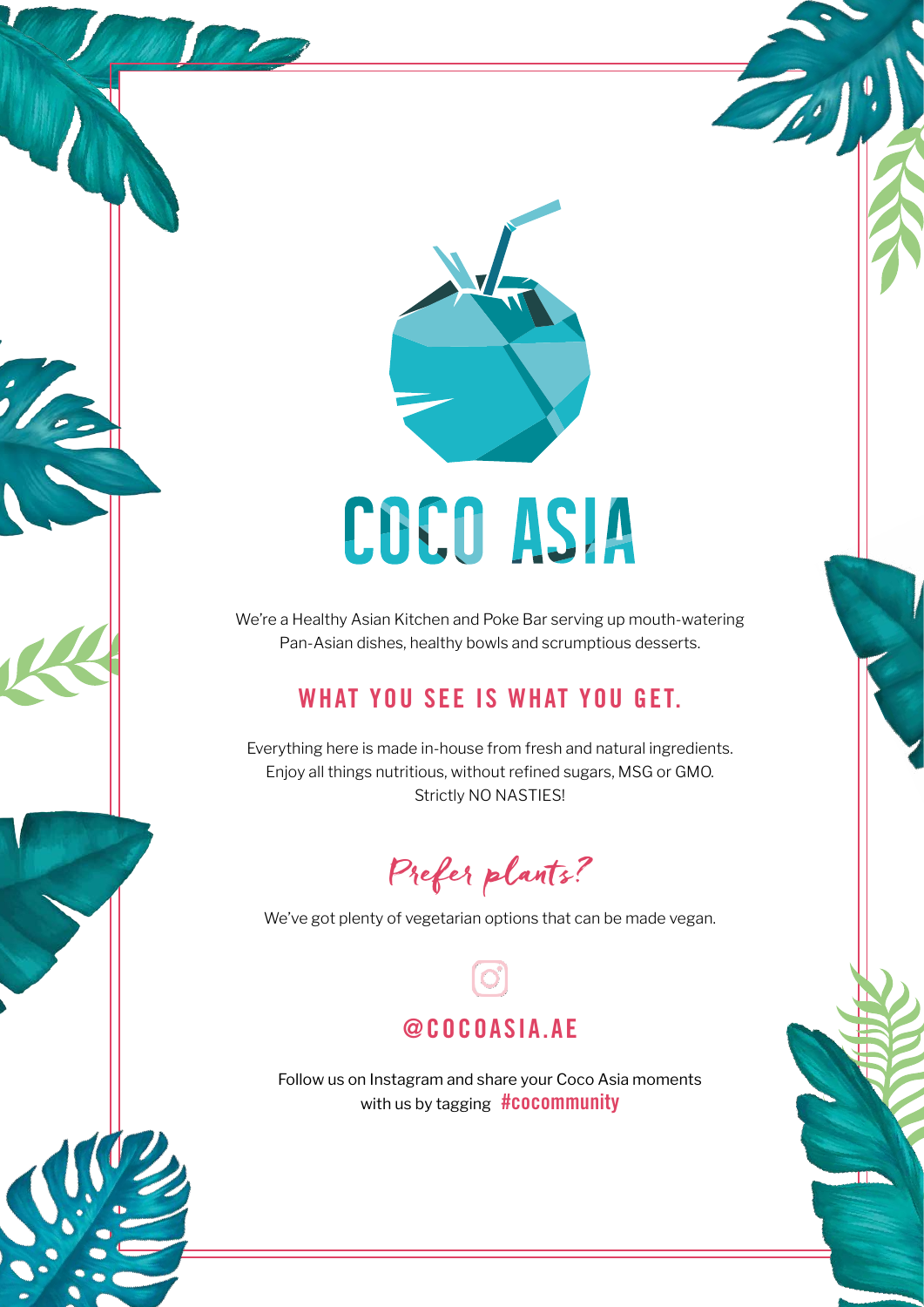

# COCO ASIA

We're a Healthy Asian Kitchen and Poke Bar serving up mouth-watering Pan-Asian dishes, healthy bowls and scrumptious desserts.

### WHAT YOU SEE IS WHAT YOU GET.

Everything here is made in-house from fresh and natural ingredients. Enjoy all things nutritious, without refined sugars, MSG or GMO. Strictly NO NASTIES!

### Prefer plants?

We've got plenty of vegetarian options that can be made vegan.

### @COCOASIA.AE

Follow us on Instagram and share your Coco Asia moments with us by tagging #COCOMMUNITY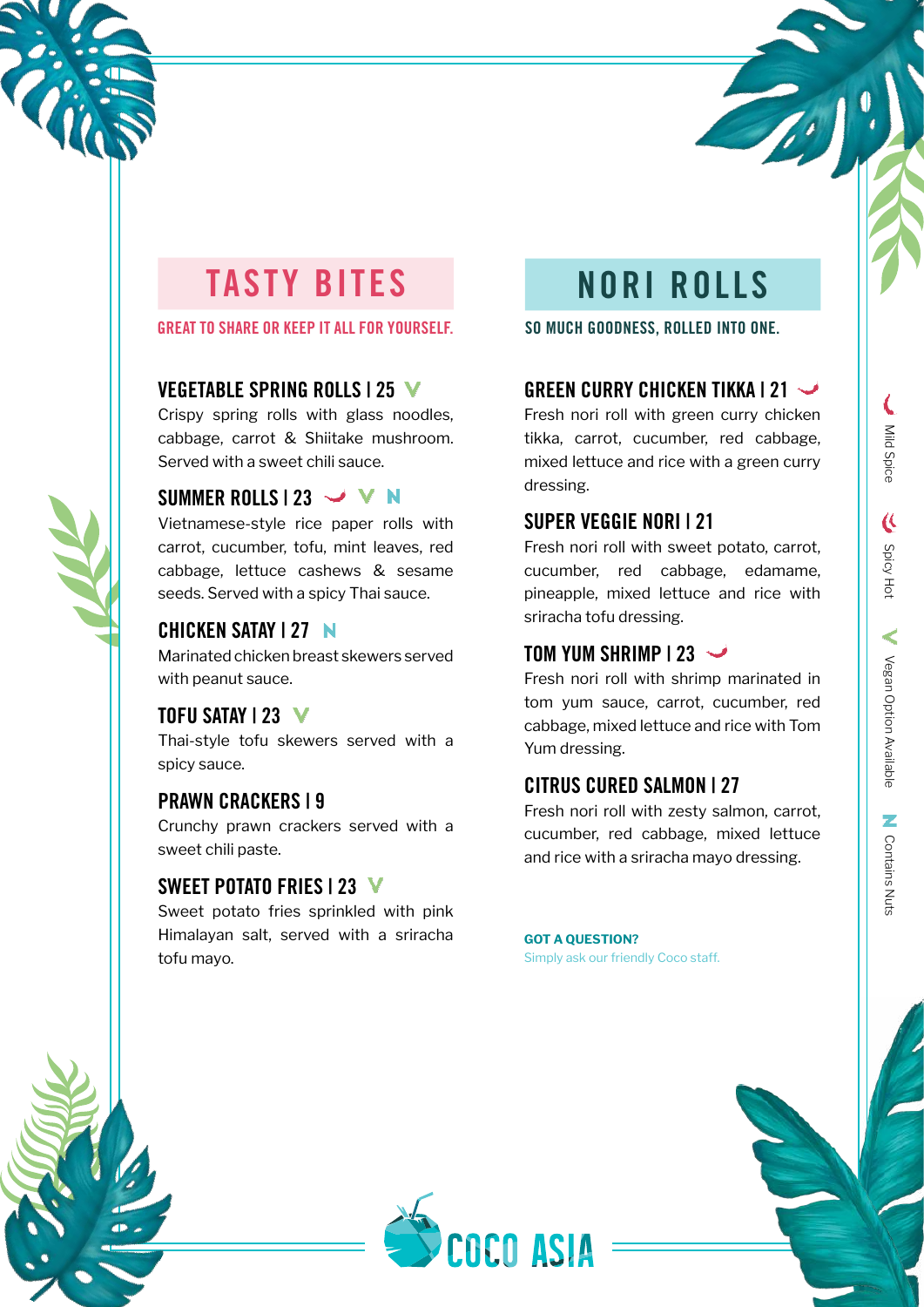

### TASTY BITES NORI ROLLS

GREAT TO SHARE OR KEEP IT ALL FOR YOURSELF.

### VEGETABLE SPRING ROLLS | 25 V

Crispy spring rolls with glass noodles, cabbage, carrot & Shiitake mushroom. Served with a sweet chili sauce.

### SUMMER ROLLS | 23  $\rightarrow$  V N

Vietnamese-style rice paper rolls with carrot, cucumber, tofu, mint leaves, red cabbage, lettuce cashews & sesame seeds. Served with a spicy Thai sauce.

### CHICKEN SATAY | 27

Marinated chicken breast skewers served with peanut sauce.

### TOFU SATAY | 23 V

Thai-style tofu skewers served with a spicy sauce.

### PRAWN CRACKERS | 9

Crunchy prawn crackers served with a sweet chili paste.

### SWEET POTATO FRIES | 23 V

Sweet potato fries sprinkled with pink Himalayan salt, served with a sriracha tofu mayo.

SO MUCH GOODNESS, ROLLED INTO ONE.

### GREEN CURRY CHICKEN TIKKA | 21

Fresh nori roll with green curry chicken tikka, carrot, cucumber, red cabbage, mixed lettuce and rice with a green curry dressing.

### SUPER VEGGIE NORI | 21

Fresh nori roll with sweet potato, carrot, cucumber, red cabbage, edamame, pineapple, mixed lettuce and rice with sriracha tofu dressing.

### TOM YUM SHRIMP | 23

Fresh nori roll with shrimp marinated in tom yum sauce, carrot, cucumber, red cabbage, mixed lettuce and rice with Tom Yum dressing.

### CITRUS CURED SALMON | 27

Fresh nori roll with zesty salmon, carrot, cucumber, red cabbage, mixed lettuce and rice with a sriracha mayo dressing.

#### **GOT A QUESTION?**

Simply ask our friendly Coco staff.







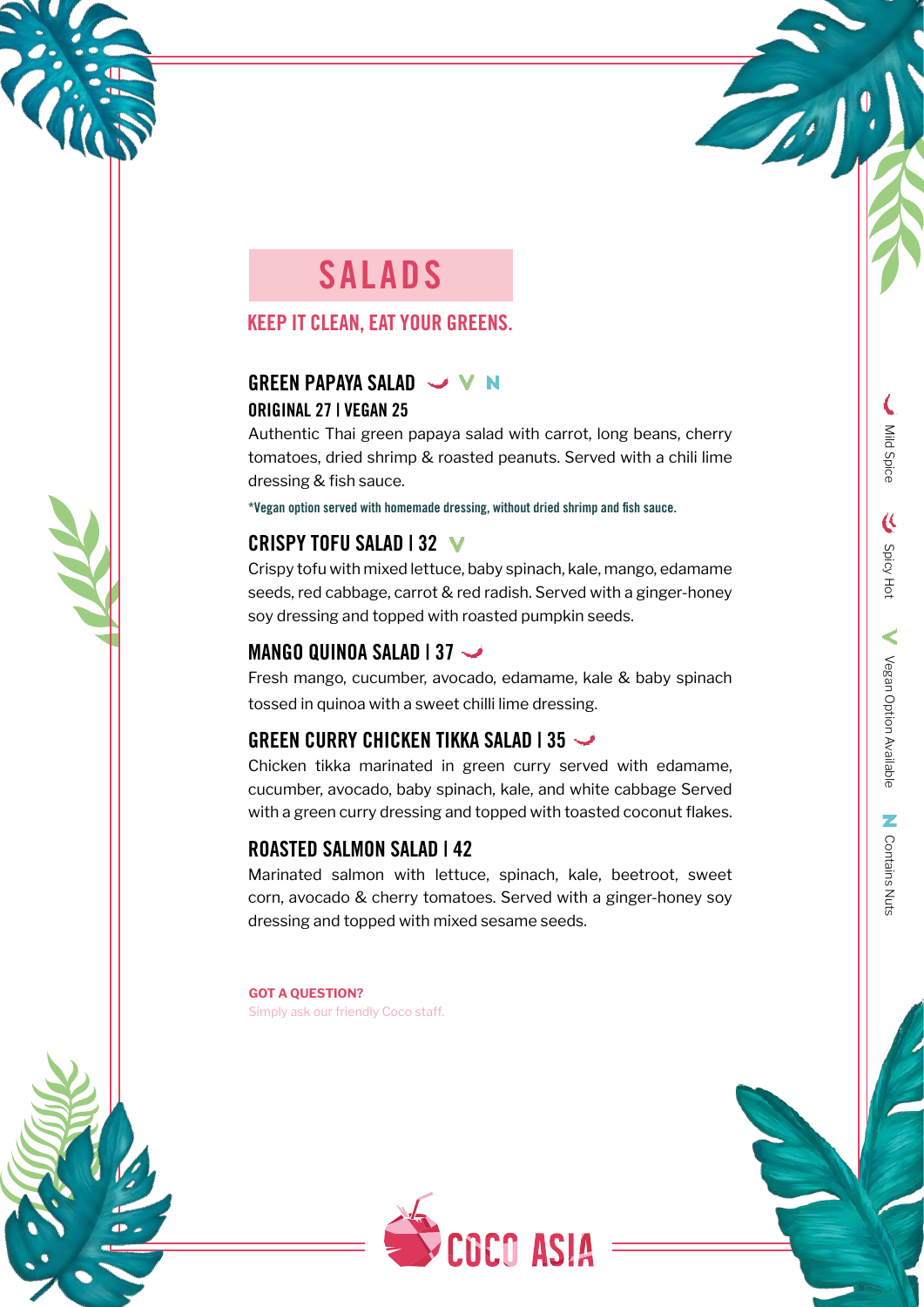

### SALADS

### KEEP IT CLEAN, EAT YOUR GREENS.

### GREEN PAPAYA SALAD V W N ORIGINAL 27 | VEGAN 25

Authentic Thai green papaya salad with carrot, long beans, cherry tomatoes, dried shrimp & roasted peanuts. Served with a chili lime dressing & fish sauce.

\*Vegan option served with homemade dressing, without dried shrimp and fish sauce.

### CRISPY TOFU SALAD | 32 V

Crispy tofu with mixed lettuce, baby spinach, kale, mango, edamame seeds, red cabbage, carrot & red radish. Served with a ginger-honey soy dressing and topped with roasted pumpkin seeds.

### MANGO QUINOA SALAD | 37

Fresh mango, cucumber, avocado, edamame, kale & baby spinach tossed in quinoa with a sweet chilli lime dressing.

### GREEN CURRY CHICKEN TIKKA SALAD | 35

Chicken tikka marinated in green curry served with edamame, cucumber, avocado, baby spinach, kale, and white cabbage Served with a green curry dressing and topped with toasted coconut flakes.

### ROASTED SALMON SALAD | 42

Marinated salmon with lettuce, spinach, kale, beetroot, sweet corn, avocado & cherry tomatoes. Served with a ginger-honey soy dressing and topped with mixed sesame seeds.

**GOT A QUESTION?**  Simply ask our friendly Coco staff.



Mild Spice

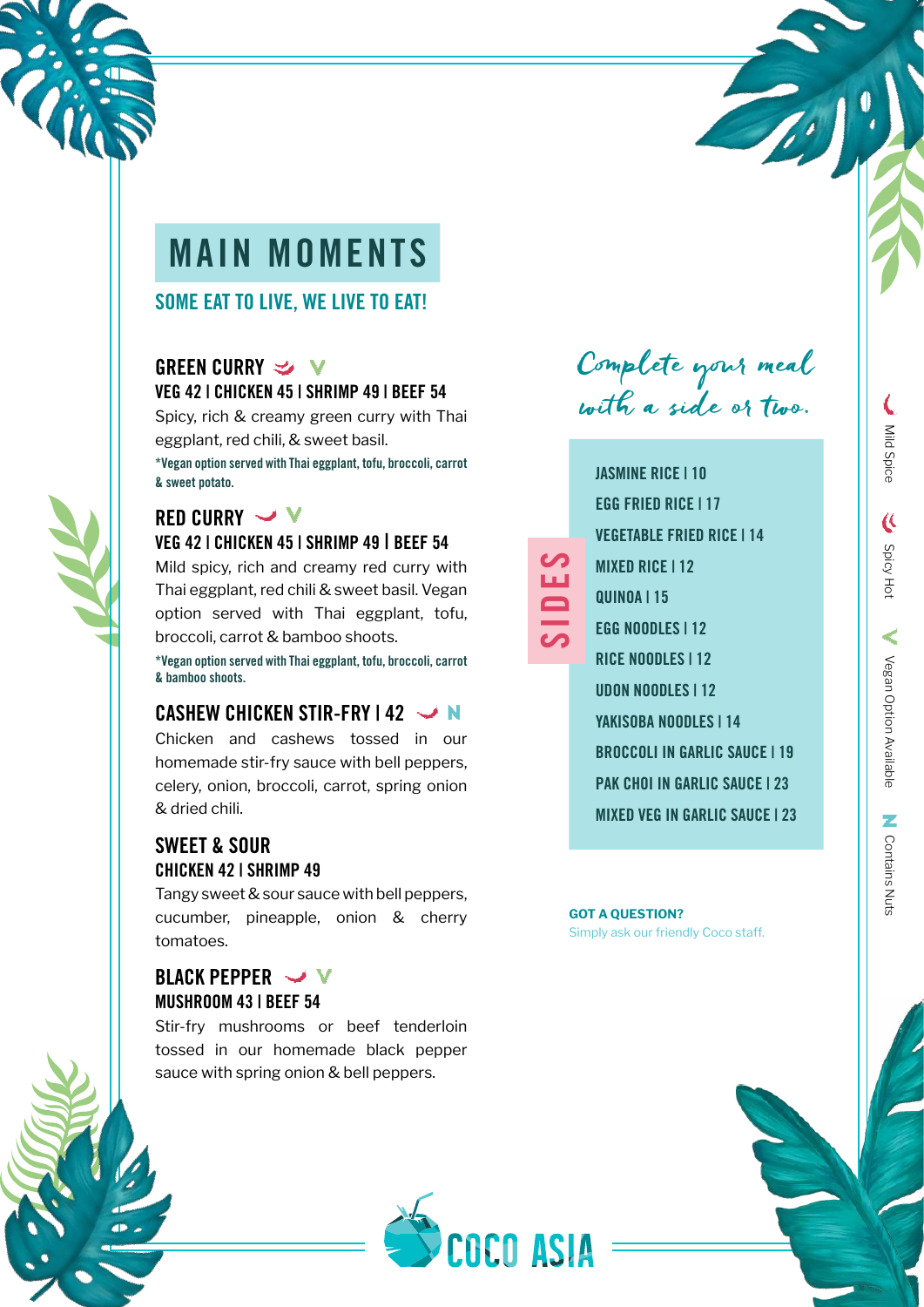

### MAIN MOMENTS

### SOME EAT TO LIVE, WE LIVE TO EAT!

### GREEN CURRY  $\rightarrow$  V VEG 42 | CHICKEN 45 | SHRIMP 49 | BEEF 54

Spicy, rich & creamy green curry with Thai eggplant, red chili, & sweet basil. \*Vegan option served with Thai eggplant, tofu, broccoli, carrot & sweet potato.

### RED CURRY V VEG 42 | CHICKEN 45 | SHRIMP 49 | BEEF 54

Mild spicy, rich and creamy red curry with Thai eggplant, red chili & sweet basil. Vegan option served with Thai eggplant, tofu, broccoli, carrot & bamboo shoots.

\*Vegan option served with Thai eggplant, tofu, broccoli, carrot & bamboo shoots.

### CASHEW CHICKEN STIR-FRY 142 V

Chicken and cashews tossed in our homemade stir-fry sauce with bell peppers, celery, onion, broccoli, carrot, spring onion & dried chili.

### SWEET & SOUR CHICKEN 42 | SHRIMP 49

Tangy sweet & sour sauce with bell peppers, cucumber, pineapple, onion & cherry tomatoes.

### BLACK PEPPER V MUSHROOM 43 | BEEF 54

Stir-fry mushrooms or beef tenderloin tossed in our homemade black pepper sauce with spring onion & bell peppers.



Complete your meal with a side or two.

| <b>IASMINE RICE I 10</b>              |
|---------------------------------------|
| EGG FRIED RICE I 17                   |
| <b>VEGETABLE FRIED RICE I 14</b>      |
| MIXED RICE I 12                       |
| QUINOA I 15                           |
| <b>EGG NOODLES I 12</b>               |
| <b>RICE NOODLES 112</b>               |
| <b>UDON NOODLES   12</b>              |
| <b>YAKISOBA NOODLES   14</b>          |
| <b>BROCCOLI IN GARLIC SAUCE I 19</b>  |
| <b>PAK CHOI IN GARLIC SAUCE I 23</b>  |
| <b>MIXED VEG IN GARLIC SAUCE I 23</b> |
|                                       |

SIDES

#### **GOT A QUESTION?**  Simply ask our friendly Coco staff.

Mild Spice Spice Spicy Hot Megan Option Available Vegan Option Available 72 **Contains Nuts** Contains Nuts

Mild Spice

 $\overline{\mathbf{C}}$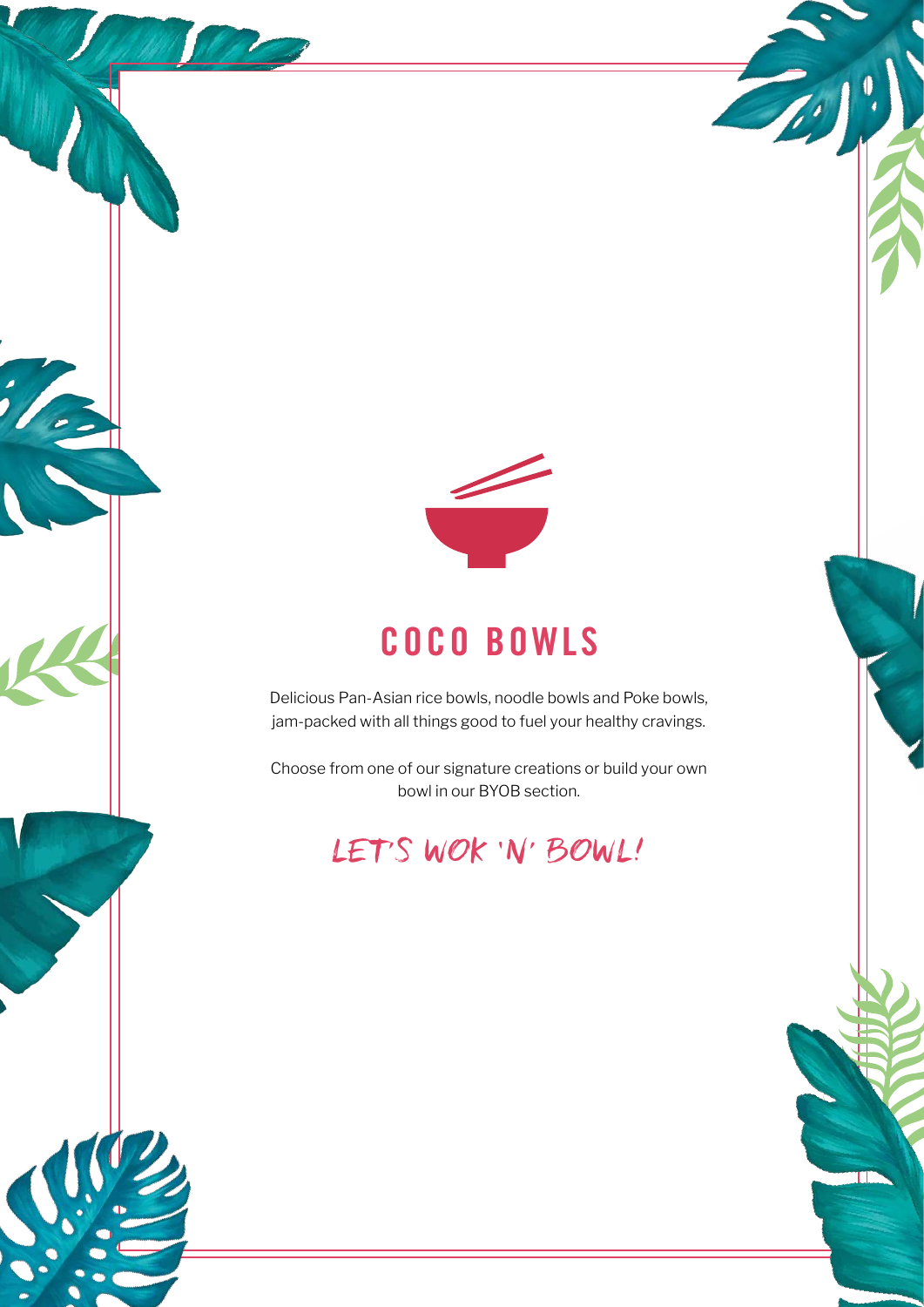

### COCO BOWLS

Delicious Pan-Asian rice bowls, noodle bowls and Poke bowls, jam-packed with all things good to fuel your healthy cravings.

Choose from one of our signature creations or build your own bowl in our BYOB section.

### LET'S WOK 'N' BOWL!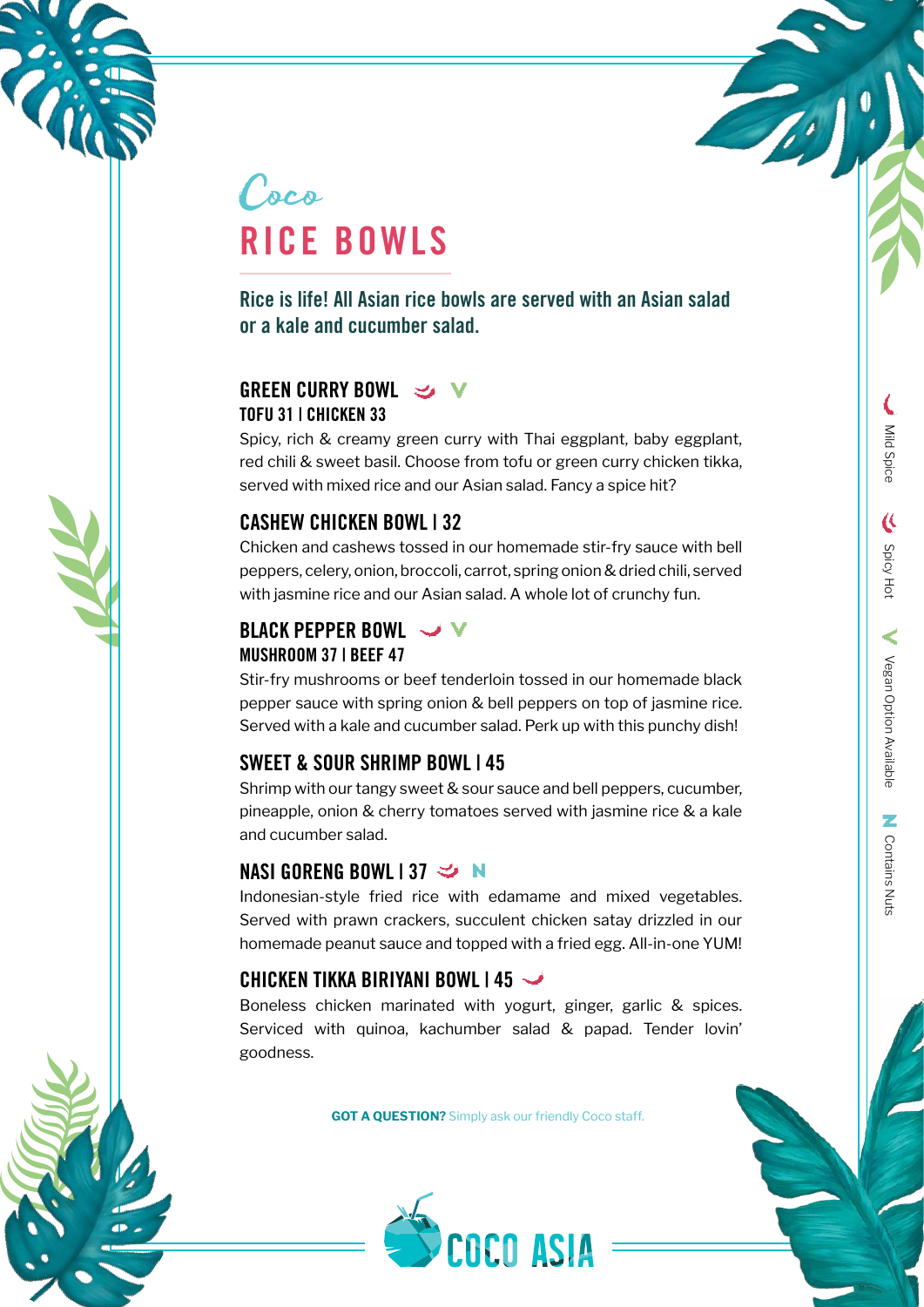



### Coco RICE BOWLS

Rice is life! All Asian rice bowls are served with an Asian salad or a kale and cucumber salad.

### GREEN CURRY BOWL  $\rightarrow$  V TOFU 31 | CHICKEN 33

Spicy, rich & creamy green curry with Thai eggplant, baby eggplant, red chili & sweet basil. Choose from tofu or green curry chicken tikka, served with mixed rice and our Asian salad. Fancy a spice hit?

### CASHEW CHICKEN BOWL | 32

Chicken and cashews tossed in our homemade stir-fry sauce with bell peppers, celery, onion, broccoli, carrot, spring onion & dried chili, served with jasmine rice and our Asian salad. A whole lot of crunchy fun.

### BLACK PEPPER BOWL V MUSHROOM 37 | BEEF 47

Stir-fry mushrooms or beef tenderloin tossed in our homemade black pepper sauce with spring onion & bell peppers on top of jasmine rice. Served with a kale and cucumber salad. Perk up with this punchy dish!

### SWEET & SOUR SHRIMP BOWL | 45

Shrimp with our tangy sweet & sour sauce and bell peppers, cucumber, pineapple, onion & cherry tomatoes served with jasmine rice & a kale and cucumber salad.

### NASI GORENG BOWL 137  $\leq N$

Indonesian-style fried rice with edamame and mixed vegetables. Served with prawn crackers, succulent chicken satay drizzled in our homemade peanut sauce and topped with a fried egg. All-in-one YUM!

### CHICKEN TIKKA BIRIYANI BOWL  $145 \rightarrow$

Boneless chicken marinated with yogurt, ginger, garlic & spices. Serviced with quinoa, kachumber salad & papad. Tender lovin' goodness.

**GOT A QUESTION?** Simply ask our friendly Coco staff.

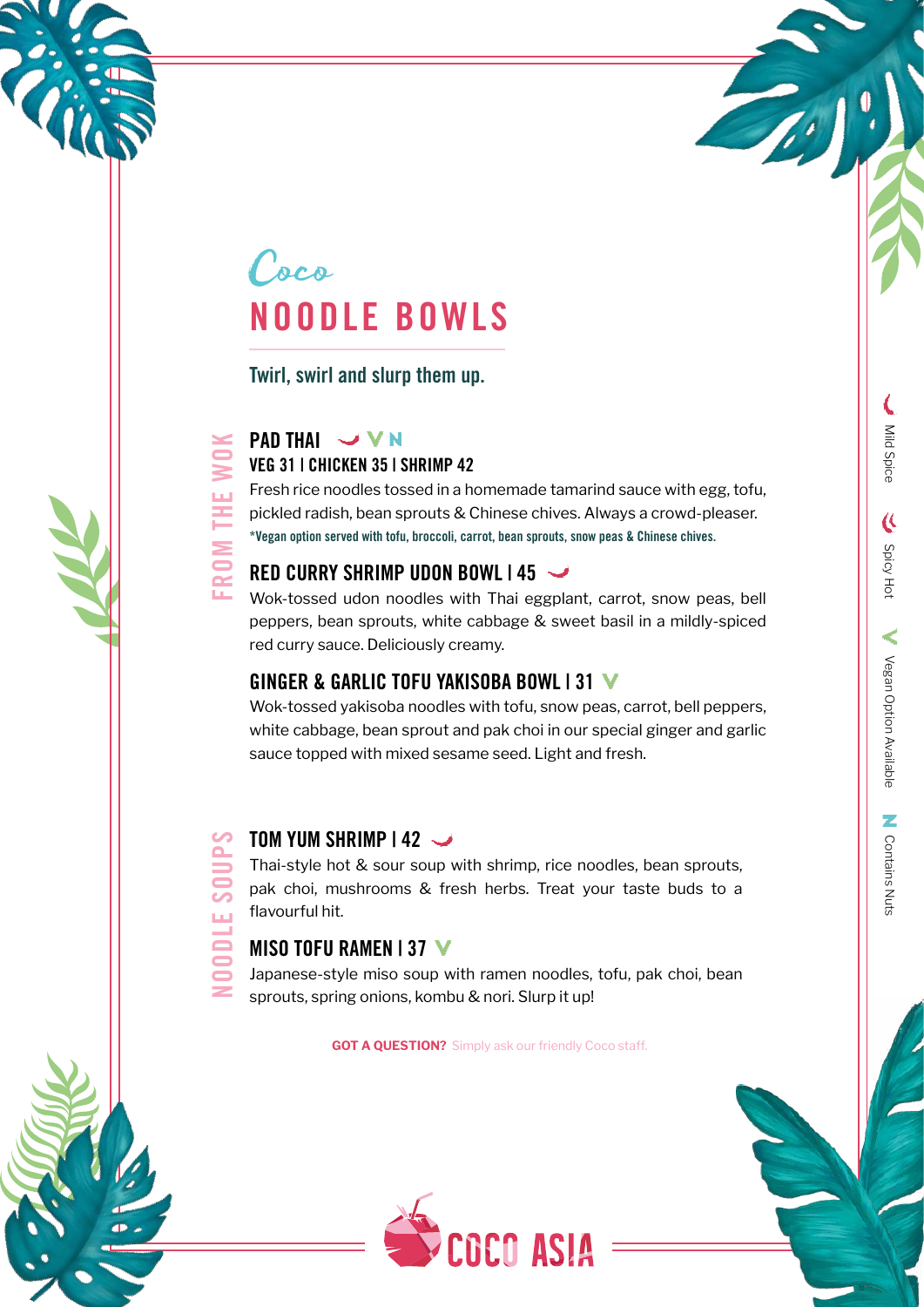

### Coco NOODLE BOWLS

Twirl, swirl and slurp them up.

## FROM THE WOK FROM THE

**ODLE** 

### PAD THAI V V N VEG 31 | CHICKEN 35 | SHRIMP 42

Fresh rice noodles tossed in a homemade tamarind sauce with egg, tofu, pickled radish, bean sprouts & Chinese chives. Always a crowd-pleaser. \*Vegan option served with tofu, broccoli, carrot, bean sprouts, snow peas & Chinese chives.

### RED CURRY SHRIMP UDON BOWL | 45

Wok-tossed udon noodles with Thai eggplant, carrot, snow peas, bell peppers, bean sprouts, white cabbage & sweet basil in a mildly-spiced red curry sauce. Deliciously creamy.

### GINGER & GARLIC TOFU YAKISOBA BOWL | 31

Wok-tossed yakisoba noodles with tofu, snow peas, carrot, bell peppers, white cabbage, bean sprout and pak choi in our special ginger and garlic sauce topped with mixed sesame seed. Light and fresh.

## TOM YUM SHRIMP | 42 NOODLE SOUPS

Thai-style hot & sour soup with shrimp, rice noodles, bean sprouts, pak choi, mushrooms & fresh herbs. Treat your taste buds to a flavourful hit.

### MISO TOFU RAMEN | 37 V

Japanese-style miso soup with ramen noodles, tofu, pak choi, bean sprouts, spring onions, kombu & nori. Slurp it up!

**GOT A QUESTION?** Simply ask our friendly Coco staff.



Mild Spice

 $\overline{\mathfrak{C}}$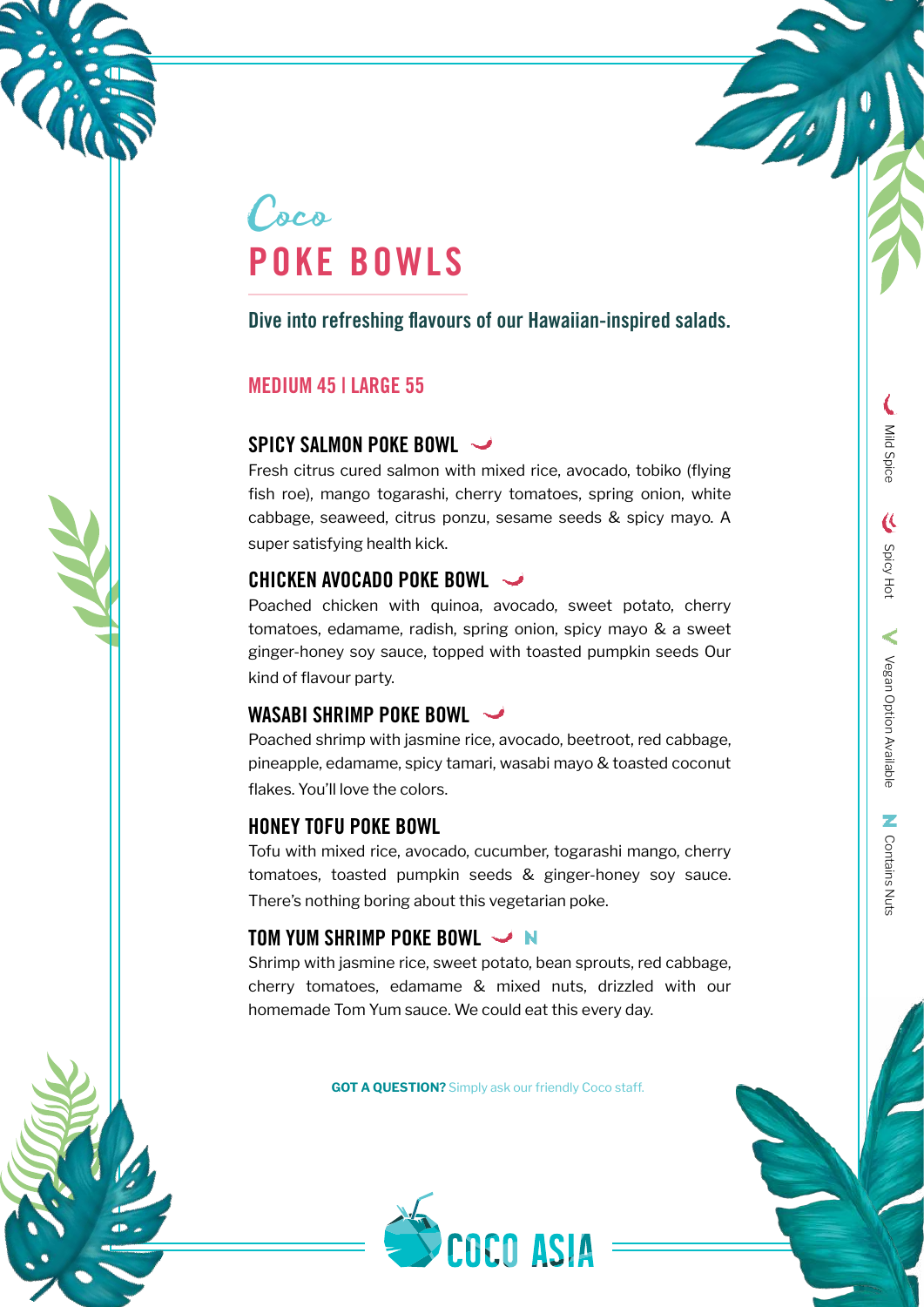



Dive into refreshing flavours of our Hawaiian-inspired salads.

#### MEDIUM 45 | LARGE 55

### SPICY SALMON POKE BOWL  $\rightarrow$

Fresh citrus cured salmon with mixed rice, avocado, tobiko (flying fish roe), mango togarashi, cherry tomatoes, spring onion, white cabbage, seaweed, citrus ponzu, sesame seeds & spicy mayo. A super satisfying health kick.

### CHICKEN AVOCADO POKE BOWL

Poached chicken with quinoa, avocado, sweet potato, cherry tomatoes, edamame, radish, spring onion, spicy mayo & a sweet ginger-honey soy sauce, topped with toasted pumpkin seeds Our kind of flavour party.

### WASABI SHRIMP POKE BOWL  $\rightarrow$

Poached shrimp with jasmine rice, avocado, beetroot, red cabbage, pineapple, edamame, spicy tamari, wasabi mayo & toasted coconut flakes. You'll love the colors.

### HONEY TOFU POKE BOWL

Tofu with mixed rice, avocado, cucumber, togarashi mango, cherry tomatoes, toasted pumpkin seeds & ginger-honey soy sauce. There's nothing boring about this vegetarian poke.

### TOM YUM SHRIMP POKE BOWL

Shrimp with jasmine rice, sweet potato, bean sprouts, red cabbage, cherry tomatoes, edamame & mixed nuts, drizzled with our homemade Tom Yum sauce. We could eat this every day.

**GOT A QUESTION?** Simply ask our friendly Coco staff.



 $\overline{\mathbf{C}}$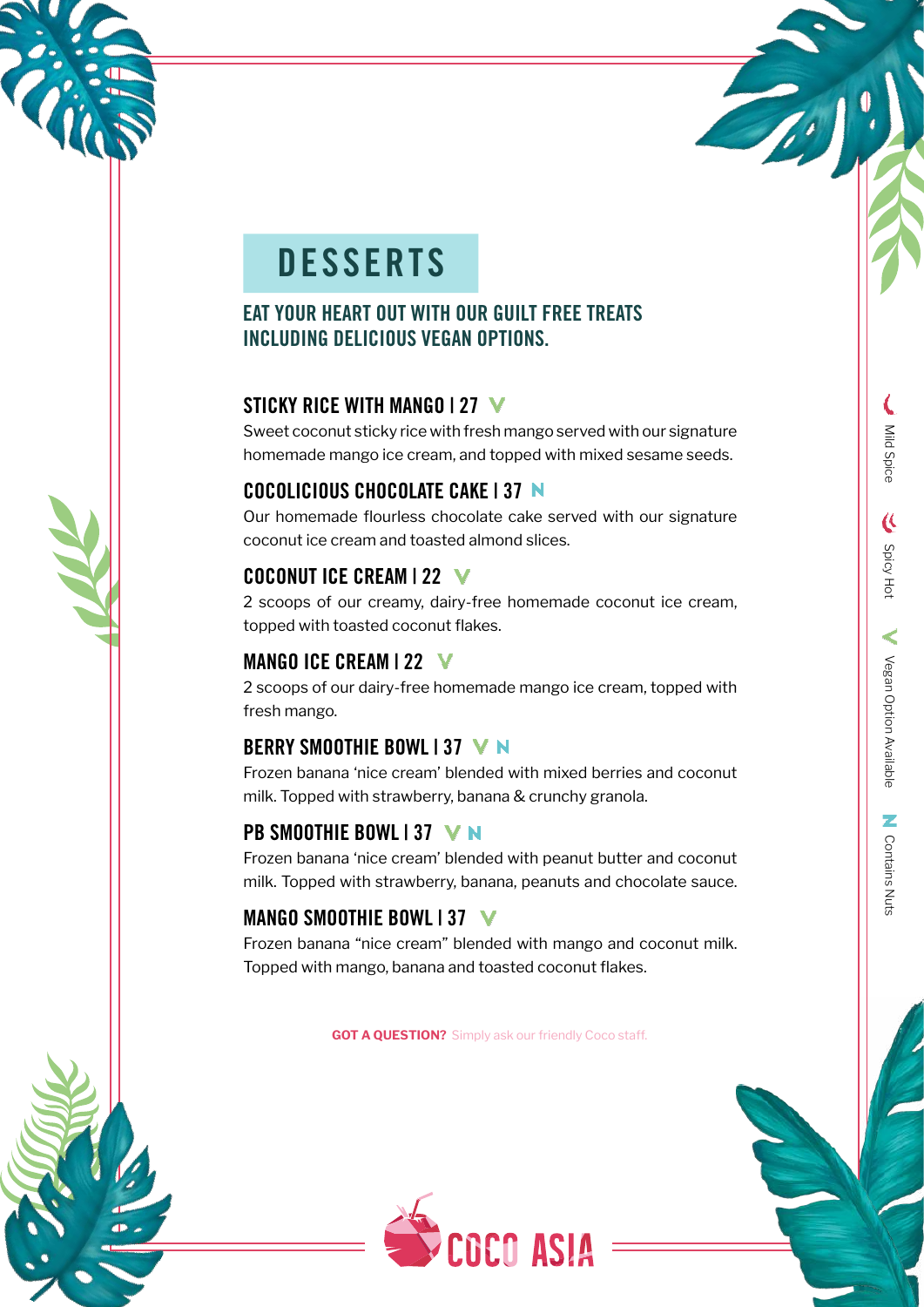## **DESSERTS**

### EAT YOUR HEART OUT WITH OUR GUILT FREE TREATS INCLUDING DELICIOUS VEGAN OPTIONS.

### STICKY RICE WITH MANGO | 27

Sweet coconut sticky rice with fresh mango served with our signature homemade mango ice cream, and topped with mixed sesame seeds.

### COCOLICIOUS CHOCOLATE CAKE | 37

Our homemade flourless chocolate cake served with our signature coconut ice cream and toasted almond slices.

### COCONUT ICE CREAM | 22 V

2 scoops of our creamy, dairy-free homemade coconut ice cream, topped with toasted coconut flakes.

### MANGO ICE CREAM | 22 V

2 scoops of our dairy-free homemade mango ice cream, topped with fresh mango.

### BERRY SMOOTHIE BOWL | 37 V N

Frozen banana 'nice cream' blended with mixed berries and coconut milk. Topped with strawberry, banana & crunchy granola.

### PB SMOOTHIE BOWL 137 V N

Frozen banana 'nice cream' blended with peanut butter and coconut milk. Topped with strawberry, banana, peanuts and chocolate sauce.

### MANGO SMOOTHIE BOWL | 37

Frozen banana "nice cream" blended with mango and coconut milk. Topped with mango, banana and toasted coconut flakes.

**GOT A QUESTION?** Simply ask our friendly Coco staff.



Mild Spice

 $\hat{\mathbf{c}}$ 

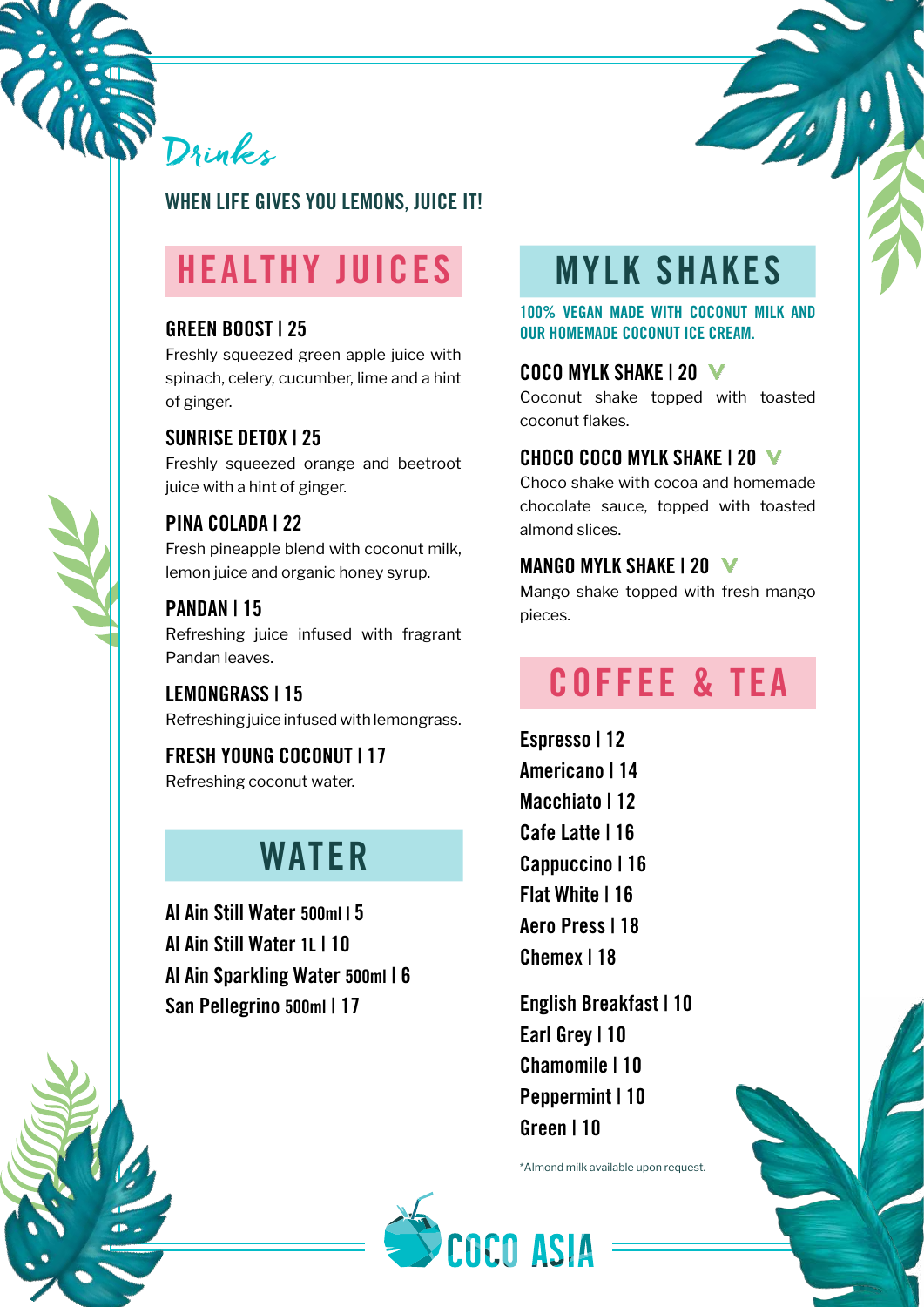

### WHEN LIFE GIVES YOU LEMONS, JUICE IT!

### HEALTHY JUICES

### GREEN BOOST | 25

Freshly squeezed green apple juice with spinach, celery, cucumber, lime and a hint of ginger.

### SUNRISE DETOX | 25

Freshly squeezed orange and beetroot juice with a hint of ginger.

### PINA COLADA | 22

Fresh pineapple blend with coconut milk, lemon juice and organic honey syrup.

### PANDAN | 15

Refreshing juice infused with fragrant Pandan leaves.

LEMONGRASS | 15 Refreshing juice infused with lemongrass.

FRESH YOUNG COCONUT | 17 Refreshing coconut water.

### WATER

Al Ain Still Water 500ml | 5 Al Ain Still Water 1L | 10 Al Ain Sparkling Water 500ml | 6 San Pellegrino 500ml | 17

### MYLK SHAKES

100% VEGAN MADE WITH COCONUT MILK AND OUR HOMEMADE COCONUT ICE CREAM.

#### COCO MYLK SHAKE 1 20 V

Coconut shake topped with toasted coconut flakes.

#### CHOCO COCO MYLK SHAKE | 20

Choco shake with cocoa and homemade chocolate sauce, topped with toasted almond slices.

### MANGO MYLK SHAKE | 20 V

Mango shake topped with fresh mango pieces.

### COFFEE & TEA

Espresso | 12 Americano | 14 Macchiato | 12 Cafe Latte | 16 Cappuccino | 16 Flat White | 16 Aero Press | 18 Chemex | 18

English Breakfast | 10 Earl Grey | 10 Chamomile | 10 Peppermint | 10 Green | 10

\*Almond milk available upon request.